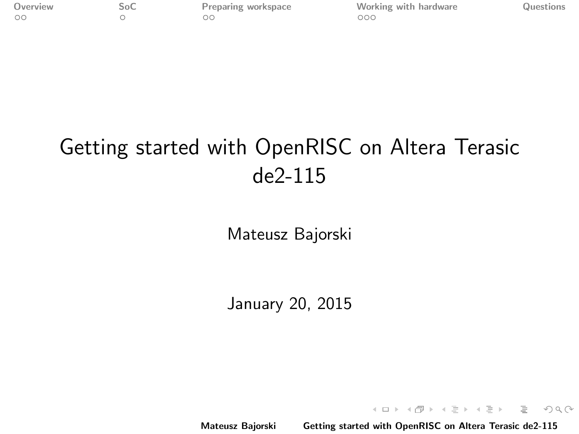<span id="page-0-0"></span>

[Overview](#page-1-0) [SoC](#page-3-0) [Preparing workspace](#page-5-0) [Working with hardware](#page-7-0) [Questions](#page-10-0)

# Getting started with OpenRISC on Altera Terasic de2-115

Mateusz Bajorski

January 20, 2015

Mateusz Bajorski [Getting started with OpenRISC on Altera Terasic de2-115](#page-11-0)

イロン イ部ン イミン イミン

 $\equiv$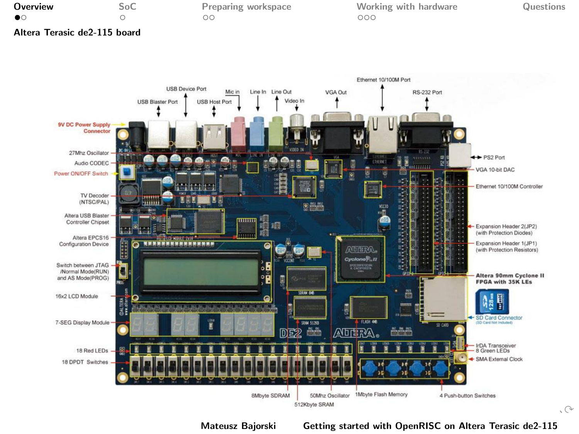<span id="page-1-0"></span>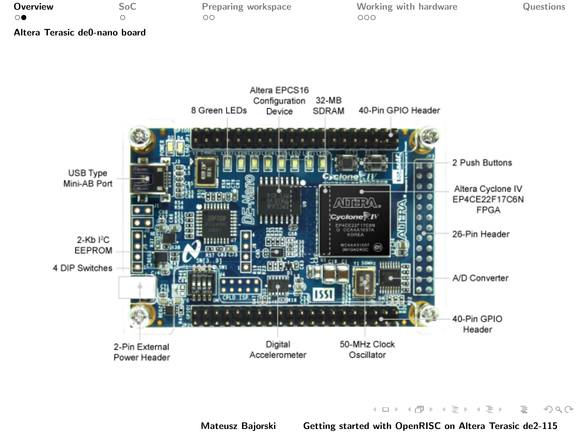<span id="page-2-0"></span>

| Overview                      | SoC | Preparing workspace | Working with hardware | Questions |
|-------------------------------|-----|---------------------|-----------------------|-----------|
|                               |     | ОC                  | ooc                   |           |
| Altera Terasic de0-nano board |     |                     |                       |           |



Mateusz Bajorski [Getting started with OpenRISC on Altera Terasic de2-115](#page-0-0)

イロン イ団ン イミン イミン

 $\equiv$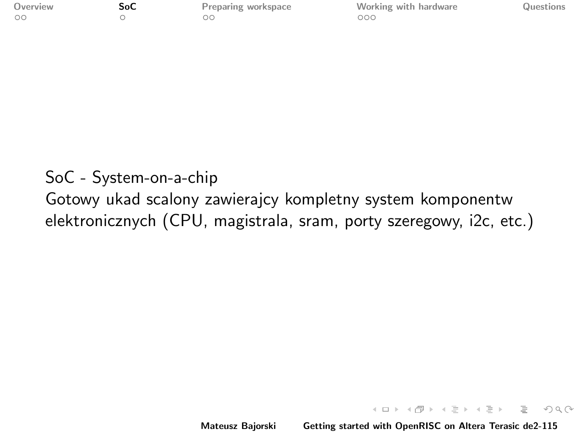<span id="page-3-0"></span>

| Overview |  |
|----------|--|
| oο       |  |

**[SoC](#page-3-0)** [Preparing workspace](#page-5-0) [Working with hardware](#page-7-0) [Questions](#page-10-0)

 $OQ$ 

# SoC - System-on-a-chip

Gotowy ukad scalony zawierajcy kompletny system komponentw elektronicznych (CPU, magistrala, sram, porty szeregowy, i2c, etc.)

Mateusz Bajorski [Getting started with OpenRISC on Altera Terasic de2-115](#page-0-0)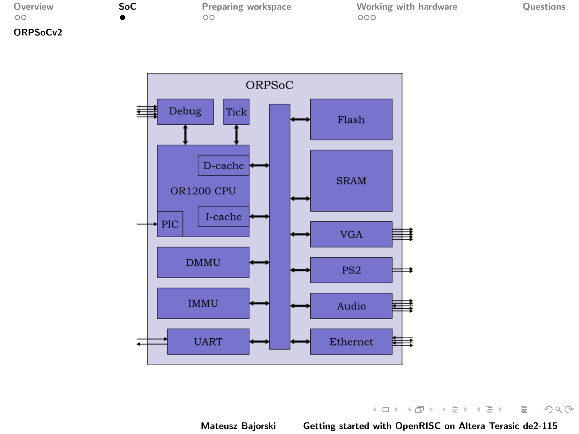<span id="page-4-0"></span>

| Overview                          |  |
|-----------------------------------|--|
| ററ                                |  |
| ORPS <sub>o</sub> C <sub>v2</sub> |  |

**[SoC](#page-3-0)** [Preparing workspace](#page-5-0) [Working with hardware](#page-7-0) [Questions](#page-10-0)<br>  $\bullet$  00



K ロ > K @ > K 등 > K 등 > H 등 …  $\begin{picture}(160,170) \put(0,0){\line(1,0){10}} \put(10,0){\line(1,0){10}} \put(10,0){\line(1,0){10}} \put(10,0){\line(1,0){10}} \put(10,0){\line(1,0){10}} \put(10,0){\line(1,0){10}} \put(10,0){\line(1,0){10}} \put(10,0){\line(1,0){10}} \put(10,0){\line(1,0){10}} \put(10,0){\line(1,0){10}} \put(10,0){\line(1,0){10}} \put(10,0){\line$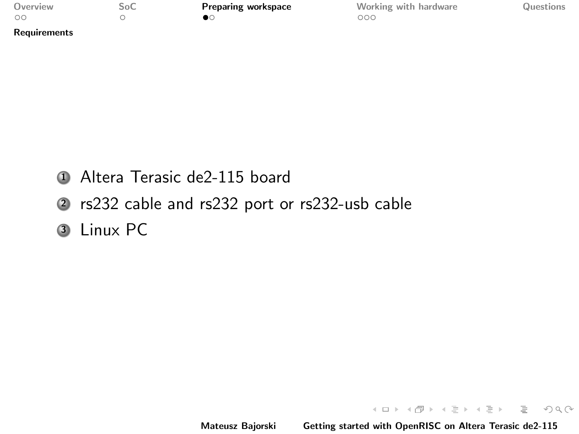<span id="page-5-0"></span>

| Overview     | SoC | <b>Preparing workspace</b> | Working with hardware | Questions |
|--------------|-----|----------------------------|-----------------------|-----------|
| $\circ$      |     |                            | DOC                   |           |
| Requirements |     |                            |                       |           |

- <sup>1</sup> Altera Terasic de2-115 board
- <sup>2</sup> rs232 cable and rs232 port or rs232-usb cable
- **3** Linux PC

Mateusz Bajorski [Getting started with OpenRISC on Altera Terasic de2-115](#page-0-0)

K ロ > K @ > K ミ > K ミ > ニ ミ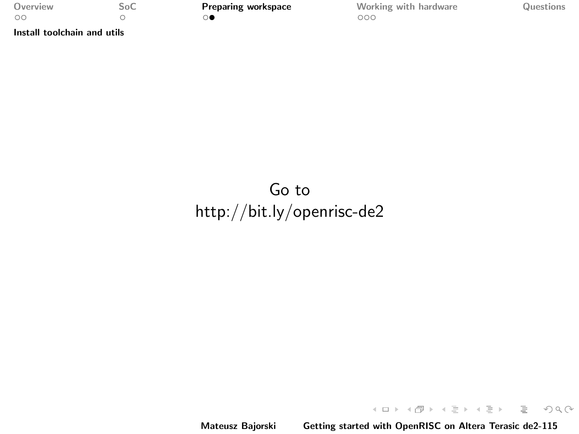<span id="page-6-0"></span>

| Overview | SoC        |
|----------|------------|
| OC       | $\bigcirc$ |

[Install toolchain and utils](#page-6-0)

**[Preparing workspace](#page-5-0)** [Working with hardware](#page-7-0) [Questions](#page-10-0)<br>  $\overline{\mathbf{Q}}$ 

# Go to <http://bit.ly/openrisc-de2>

 $\mathcal{A} \subseteq \mathcal{A} \Rightarrow \mathcal{A} \subseteq \mathcal{B} \Rightarrow \mathcal{A} \subseteq \mathcal{B} \Rightarrow \mathcal{A} \subseteq \mathcal{B} \Rightarrow \mathcal{B} \subseteq \mathcal{B}$  $\begin{picture}(160,170) \put(0,0){\line(1,0){10}} \put(10,0){\line(1,0){10}} \put(10,0){\line(1,0){10}} \put(10,0){\line(1,0){10}} \put(10,0){\line(1,0){10}} \put(10,0){\line(1,0){10}} \put(10,0){\line(1,0){10}} \put(10,0){\line(1,0){10}} \put(10,0){\line(1,0){10}} \put(10,0){\line(1,0){10}} \put(10,0){\line(1,0){10}} \put(10,0){\line$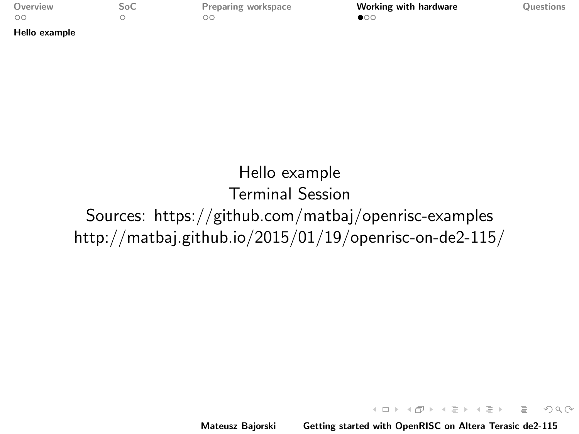<span id="page-7-0"></span>

| Overview |  |
|----------|--|
| oο       |  |

[Hello example](#page-7-0)

 $\begin{array}{ccc}\n\text{Soc} & \text{Preparing workspace} & \text{Workspace} \\
\text{Soc} & \text{O} & \text{O} & \text{O} & \text{O} \\
\end{array}$  $\begin{array}{ccc}\n\text{Soc} & \text{Preparing workspace} & \text{Workspace} \\
\text{Soc} & \text{O} & \text{O} & \text{O} & \text{O} \\
\end{array}$  $\begin{array}{ccc}\n\text{Soc} & \text{Preparing workspace} & \text{Workspace} \\
\text{Soc} & \text{O} & \text{O} & \text{O} & \text{O} \\
\end{array}$ 

#### Hello example Terminal Session Sources: https://github.com/matbaj/openrisc-examples http://matbaj.github.io/2015/01/19/openrisc-on-de2-115/

Mateusz Bajorski [Getting started with OpenRISC on Altera Terasic de2-115](#page-0-0)

イロン イ部ン イミン イミン

 $\equiv$ 

 $\Omega$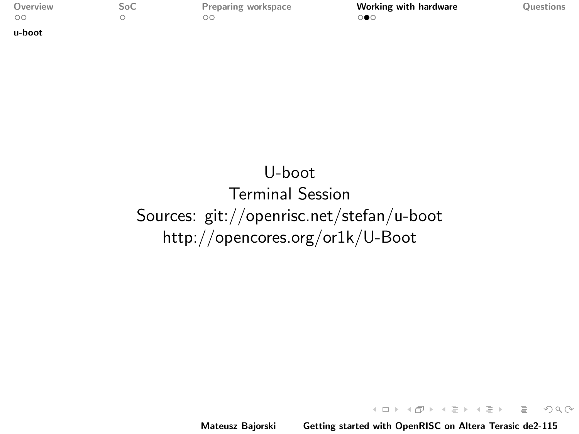[u-boot](#page-8-0)

<span id="page-8-0"></span>[Overview](#page-1-0) [SoC](#page-3-0) [Preparing workspace](#page-5-0) [Working with hardware](#page-7-0) [Questions](#page-10-0)

## U-boot Terminal Session Sources: git://openrisc.net/stefan/u-boot http://opencores.org/or1k/U-Boot

Mateusz Bajorski [Getting started with OpenRISC on Altera Terasic de2-115](#page-0-0)

 $\mathcal{A} \equiv \mathcal{F} \rightarrow \mathcal{A} \equiv \mathcal{F} \rightarrow \mathcal{A} \equiv \mathcal{F} \rightarrow \mathcal{A} \equiv \mathcal{F} \rightarrow \mathcal{A} \equiv \mathcal{F} \rightarrow \mathcal{A} \equiv \mathcal{F} \rightarrow \mathcal{A} \equiv \mathcal{F} \rightarrow \mathcal{A} \equiv \mathcal{F} \rightarrow \mathcal{A} \equiv \mathcal{F} \rightarrow \mathcal{A} \equiv \mathcal{F} \rightarrow \mathcal{A} \equiv \mathcal{F} \rightarrow \mathcal{A} \equiv \mathcal{F} \rightarrow \mathcal{A} \equiv \mathcal{F} \rightarrow \mathcal{A} \equiv \mathcal{$ 

 $\equiv$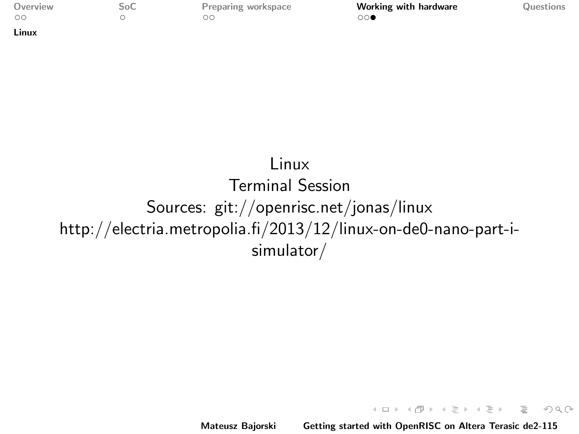[Linux](#page-9-0)

<span id="page-9-0"></span>[Overview](#page-1-0) [SoC](#page-3-0) [Preparing workspace](#page-5-0) **[Working with hardware](#page-7-0)** [Questions](#page-10-0)<br>
oo oo oo **oo oo** 

 $OQ$ 

#### Linux Terminal Session Sources: git://openrisc.net/jonas/linux http://electria.metropolia.fi/2013/12/linux-on-de0-nano-part-isimulator/

Mateusz Bajorski [Getting started with OpenRISC on Altera Terasic de2-115](#page-0-0)

K ロ ▶ K @ ▶ K ミ ▶ K ミ ▶ │ ミ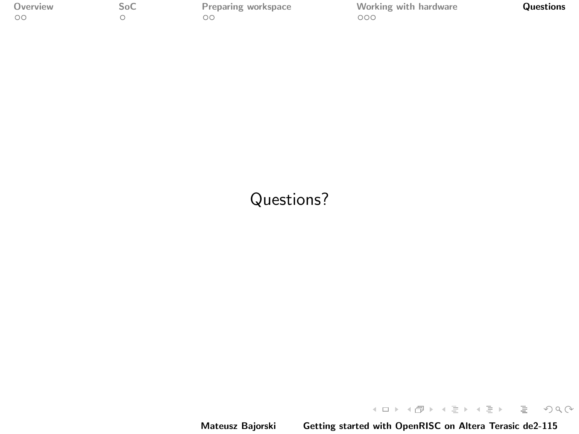<span id="page-10-0"></span>

[Overview](#page-1-0) [SoC](#page-3-0) [Preparing workspace](#page-5-0) [Working with hardware](#page-7-0) **[Questions](#page-10-0)**<br>  $\circ$ 

#### Questions?

 $\mathcal{A} \ \Box \ \rightarrow \ \mathcal{A} \ \overline{\mathcal{B}} \ \rightarrow \ \mathcal{A} \ \overline{\mathcal{B}} \ \rightarrow \ \mathcal{A} \ \overline{\mathcal{B}} \ \rightarrow \ \ \mathcal{B} \ \overline{\mathcal{B}} \ \rightarrow \quad \overline{\mathcal{B}} \ \rightarrow \quad$  $\begin{picture}(160,170) \put(0,0){\line(1,0){10}} \put(10,0){\line(1,0){10}} \put(10,0){\line(1,0){10}} \put(10,0){\line(1,0){10}} \put(10,0){\line(1,0){10}} \put(10,0){\line(1,0){10}} \put(10,0){\line(1,0){10}} \put(10,0){\line(1,0){10}} \put(10,0){\line(1,0){10}} \put(10,0){\line(1,0){10}} \put(10,0){\line(1,0){10}} \put(10,0){\line$